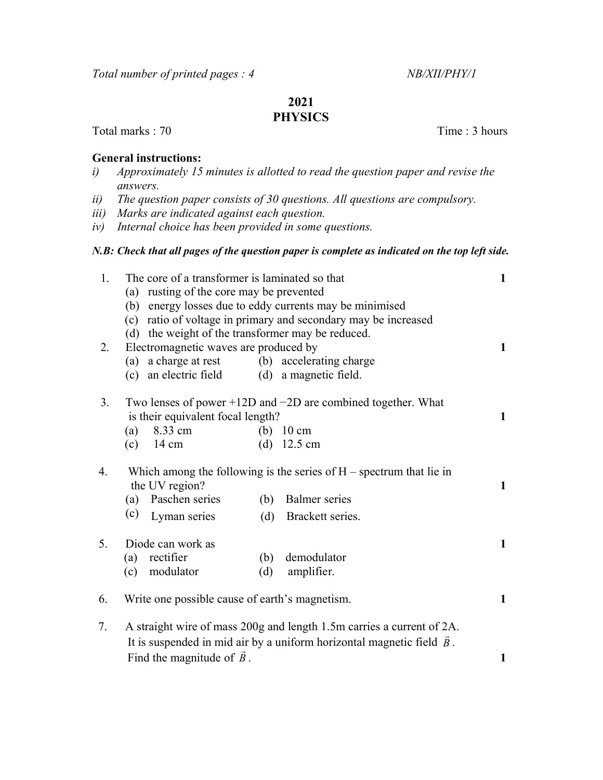# 2021

## **PHYSICS**

Total marks : 70 Time : 3 hours

#### General instructions:

- i) Approximately 15 minutes is allotted to read the question paper and revise the answers.
- ii) The question paper consists of 30 questions. All questions are compulsory.
- iii) Marks are indicated against each question.
- iv) Internal choice has been provided in some questions.

### N.B: Check that all pages of the question paper is complete as indicated on the top left side.

| 1. | The core of a transformer is laminated so that<br>(a) rusting of the core may be prevented<br>(b) energy losses due to eddy currents may be minimised<br>(c) ratio of voltage in primary and secondary may be increased |                                   |              |  |
|----|-------------------------------------------------------------------------------------------------------------------------------------------------------------------------------------------------------------------------|-----------------------------------|--------------|--|
|    |                                                                                                                                                                                                                         |                                   |              |  |
|    |                                                                                                                                                                                                                         |                                   |              |  |
|    | (d) the weight of the transformer may be reduced.                                                                                                                                                                       |                                   |              |  |
| 2. | Electromagnetic waves are produced by                                                                                                                                                                                   |                                   |              |  |
|    | (a) a charge at rest (b) accelerating charge                                                                                                                                                                            |                                   | $\mathbf{1}$ |  |
|    | (c) an electric field (d) a magnetic field.                                                                                                                                                                             |                                   |              |  |
| 3. | Two lenses of power $+12D$ and $-2D$ are combined together. What                                                                                                                                                        |                                   |              |  |
|    | is their equivalent focal length?                                                                                                                                                                                       |                                   |              |  |
|    | 8.33 cm<br>(a)                                                                                                                                                                                                          | (b) $10 \text{ cm}$               |              |  |
|    | $14 \text{ cm}$<br>(c)                                                                                                                                                                                                  | (d) $12.5 \text{ cm}$             |              |  |
| 4. | Which among the following is the series of $H$ – spectrum that lie in<br>the UV region?                                                                                                                                 |                                   |              |  |
|    | (a) Paschen series                                                                                                                                                                                                      | <b>Balmer</b> series<br>(b)       |              |  |
|    | (c)<br>Lyman series                                                                                                                                                                                                     | (d) Brackett series.              |              |  |
| 5. | Diode can work as                                                                                                                                                                                                       |                                   | $\mathbf{1}$ |  |
|    | rectifier<br>(a)                                                                                                                                                                                                        | demodulator<br>(b)                |              |  |
|    | modulator<br>(c)                                                                                                                                                                                                        | amplifier.<br>(d)                 |              |  |
| 6. | Write one possible cause of earth's magnetism.                                                                                                                                                                          |                                   | 1            |  |
| 7. | A straight wire of mass 200g and length 1.5m carries a current of 2A.                                                                                                                                                   |                                   |              |  |
|    | It is suspended in mid air by a uniform horizontal magnetic field $\vec{B}$ .                                                                                                                                           |                                   |              |  |
|    |                                                                                                                                                                                                                         | Find the magnitude of $\vec{B}$ . |              |  |
|    |                                                                                                                                                                                                                         |                                   | 1            |  |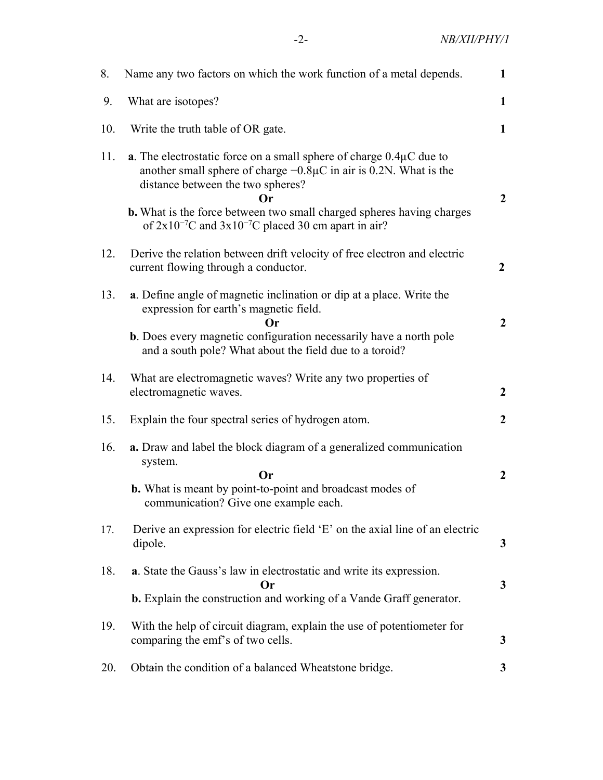-2- NB/XII/PHY/1

| 8.  | Name any two factors on which the work function of a metal depends.                                                                                                                                                                                                                    |                  |
|-----|----------------------------------------------------------------------------------------------------------------------------------------------------------------------------------------------------------------------------------------------------------------------------------------|------------------|
| 9.  | What are isotopes?                                                                                                                                                                                                                                                                     |                  |
| 10. | Write the truth table of OR gate.                                                                                                                                                                                                                                                      |                  |
| 11. | <b>a</b> . The electrostatic force on a small sphere of charge $0.4\mu$ C due to<br>another small sphere of charge $-0.8\mu$ C in air is 0.2N. What is the<br>distance between the two spheres?<br>()r<br><b>b.</b> What is the force between two small charged spheres having charges | $\overline{2}$   |
|     | of $2x10^{-7}$ C and $3x10^{-7}$ C placed 30 cm apart in air?                                                                                                                                                                                                                          |                  |
| 12. | Derive the relation between drift velocity of free electron and electric<br>current flowing through a conductor.                                                                                                                                                                       | $\overline{2}$   |
| 13. | a. Define angle of magnetic inclination or dip at a place. Write the<br>expression for earth's magnetic field.<br><b>Or</b>                                                                                                                                                            | $\boldsymbol{2}$ |
|     | <b>b</b> . Does every magnetic configuration necessarily have a north pole<br>and a south pole? What about the field due to a toroid?                                                                                                                                                  |                  |
| 14. | What are electromagnetic waves? Write any two properties of<br>electromagnetic waves.                                                                                                                                                                                                  | $\overline{2}$   |
| 15. | Explain the four spectral series of hydrogen atom.                                                                                                                                                                                                                                     | $\overline{2}$   |
| 16. | a. Draw and label the block diagram of a generalized communication<br>system.<br><b>Or</b><br><b>b.</b> What is meant by point-to-point and broadcast modes of                                                                                                                         | $\overline{2}$   |
|     | communication? Give one example each.                                                                                                                                                                                                                                                  |                  |
| 17. | Derive an expression for electric field 'E' on the axial line of an electric<br>dipole.                                                                                                                                                                                                | $\mathbf{3}$     |
| 18. | a. State the Gauss's law in electrostatic and write its expression.<br>Or                                                                                                                                                                                                              | 3                |
|     | <b>b.</b> Explain the construction and working of a Vande Graff generator.                                                                                                                                                                                                             |                  |
| 19. | With the help of circuit diagram, explain the use of potentiometer for<br>comparing the emf's of two cells.                                                                                                                                                                            | 3                |
| 20. | Obtain the condition of a balanced Wheatstone bridge.                                                                                                                                                                                                                                  | 3                |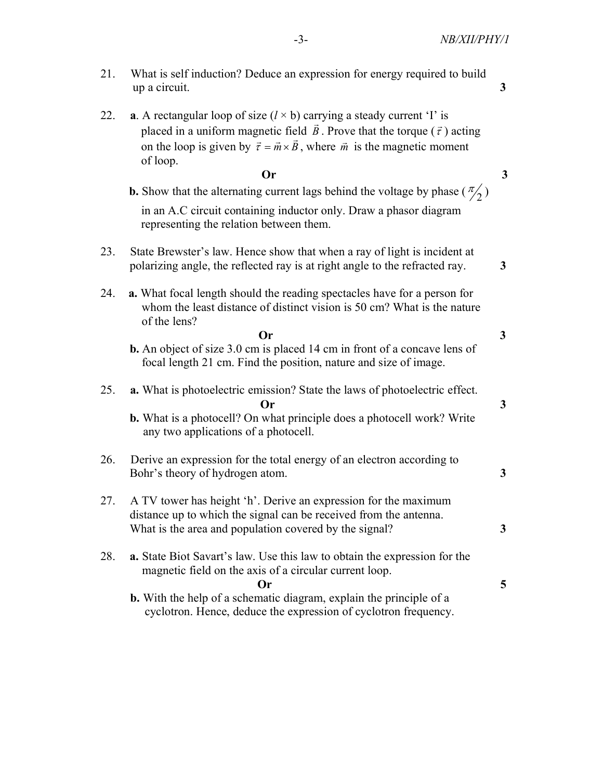- 22. **a.** A rectangular loop of size  $(l \times b)$  carrying a steady current 'I' is placed in a uniform magnetic field  $\vec{B}$ . Prove that the torque  $(\vec{\tau})$  acting placed in a different magnetic field *B*. Trove that the torque (*t*) acting<br>on the loop is given by  $\vec{\tau} = \vec{m} \times \vec{B}$ , where  $\vec{m}$  is the magnetic moment of loop.  $\mathbf{O}_r$  3
- **b.** Show that the alternating current lags behind the voltage by phase  $(\frac{\pi}{2})$  in an A.C circuit containing inductor only. Draw a phasor diagram representing the relation between them.
- 23. State Brewster's law. Hence show that when a ray of light is incident at polarizing angle, the reflected ray is at right angle to the refracted ray. 3
- 24. a. What focal length should the reading spectacles have for a person for whom the least distance of distinct vision is 50 cm? What is the nature of the lens?
- $\mathbf{O}_r$  3 b. An object of size 3.0 cm is placed 14 cm in front of a concave lens of focal length 21 cm. Find the position, nature and size of image.
	- 25. a. What is photoelectric emission? State the laws of photoelectric effect.  $\mathbf{O}_r$  3 b. What is a photocell? On what principle does a photocell work? Write any two applications of a photocell.
	- 26. Derive an expression for the total energy of an electron according to Bohr's theory of hydrogen atom. 3
	- 27. A TV tower has height 'h'. Derive an expression for the maximum distance up to which the signal can be received from the antenna. What is the area and population covered by the signal? 3
	- 28. a. State Biot Savart's law. Use this law to obtain the expression for the magnetic field on the axis of a circular current loop.  $\sigma$  5
		- b. With the help of a schematic diagram, explain the principle of a cyclotron. Hence, deduce the expression of cyclotron frequency.